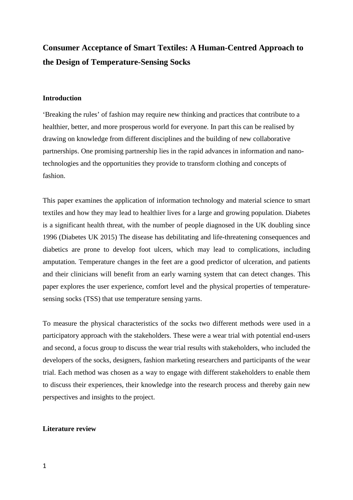# **Consumer Acceptance of Smart Textiles: A Human-Centred Approach to the Design of Temperature-Sensing Socks**

# **Introduction**

'Breaking the rules' of fashion may require new thinking and practices that contribute to a healthier, better, and more prosperous world for everyone. In part this can be realised by drawing on knowledge from different disciplines and the building of new collaborative partnerships. One promising partnership lies in the rapid advances in information and nanotechnologies and the opportunities they provide to transform clothing and concepts of fashion.

This paper examines the application of information technology and material science to smart textiles and how they may lead to healthier lives for a large and growing population. Diabetes is a significant health threat, with the number of people diagnosed in the UK doubling since 1996 (Diabetes UK 2015) The disease has debilitating and life-threatening consequences and diabetics are prone to develop foot ulcers, which may lead to complications, including amputation. Temperature changes in the feet are a good predictor of ulceration, and patients and their clinicians will benefit from an early warning system that can detect changes. This paper explores the user experience, comfort level and the physical properties of temperaturesensing socks (TSS) that use temperature sensing yarns.

To measure the physical characteristics of the socks two different methods were used in a participatory approach with the stakeholders. These were a wear trial with potential end-users and second, a focus group to discuss the wear trial results with stakeholders, who included the developers of the socks, designers, fashion marketing researchers and participants of the wear trial. Each method was chosen as a way to engage with different stakeholders to enable them to discuss their experiences, their knowledge into the research process and thereby gain new perspectives and insights to the project.

# **Literature review**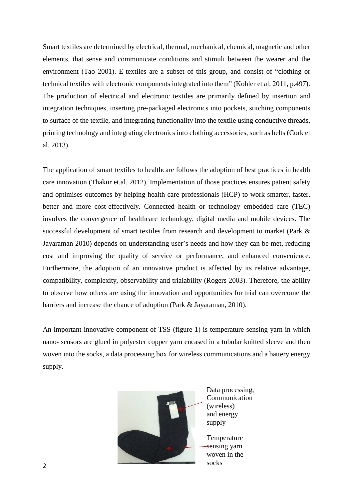Smart textiles are determined by electrical, thermal, mechanical, chemical, magnetic and other elements, that sense and communicate conditions and stimuli between the wearer and the environment (Tao 2001). E-textiles are a subset of this group, and consist of "clothing or technical textiles with electronic components integrated into them" (Kohler et al. 2011, p.497). The production of electrical and electronic textiles are primarily defined by insertion and integration techniques, inserting pre-packaged electronics into pockets, stitching components to surface of the textile, and integrating functionality into the textile using conductive threads, printing technology and integrating electronics into clothing accessories, such as belts (Cork et al. 2013).

The application of smart textiles to healthcare follows the adoption of best practices in health care innovation (Thakur et.al. 2012). Implementation of those practices ensures patient safety and optimises outcomes by helping health care professionals (HCP) to work smarter, faster, better and more cost-effectively. Connected health or technology embedded care (TEC) involves the convergence of healthcare technology, digital media and mobile devices. The successful development of smart textiles from research and development to market (Park & Jayaraman 2010) depends on understanding user's needs and how they can be met, reducing cost and improving the quality of service or performance, and enhanced convenience. Furthermore, the adoption of an innovative product is affected by its relative advantage, compatibility, complexity, observability and trialability (Rogers 2003). Therefore, the ability to observe how others are using the innovation and opportunities for trial can overcome the barriers and increase the chance of adoption (Park & Jayaraman, 2010).

An important innovative component of TSS (figure 1) is temperature-sensing yarn in which nano- sensors are glued in polyester copper yarn encased in a tubular knitted sleeve and then woven into the socks, a data processing box for wireless communications and a battery energy supply.



Data processing, Communication (wireless) and energy supply

Temperature sensing yarn woven in the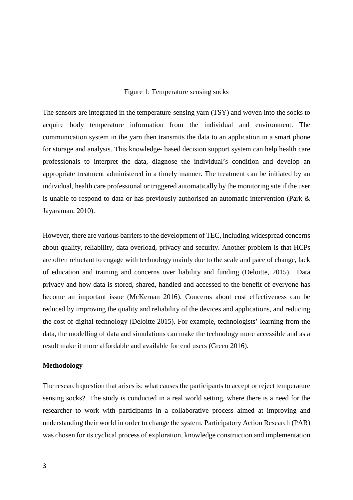#### Figure 1: Temperature sensing socks

The sensors are integrated in the temperature-sensing yarn (TSY) and woven into the socks to acquire body temperature information from the individual and environment. The communication system in the yarn then transmits the data to an application in a smart phone for storage and analysis. This knowledge- based decision support system can help health care professionals to interpret the data, diagnose the individual's condition and develop an appropriate treatment administered in a timely manner. The treatment can be initiated by an individual, health care professional or triggered automatically by the monitoring site if the user is unable to respond to data or has previously authorised an automatic intervention (Park & Jayaraman, 2010).

However, there are various barriers to the development of TEC, including widespread concerns about quality, reliability, data overload, privacy and security. Another problem is that HCPs are often reluctant to engage with technology mainly due to the scale and pace of change, lack of education and training and concerns over liability and funding (Deloitte, 2015). Data privacy and how data is stored, shared, handled and accessed to the benefit of everyone has become an important issue (McKernan 2016). Concerns about cost effectiveness can be reduced by improving the quality and reliability of the devices and applications, and reducing the cost of digital technology (Deloitte 2015). For example, technologists' learning from the data, the modelling of data and simulations can make the technology more accessible and as a result make it more affordable and available for end users (Green 2016).

#### **Methodology**

The research question that arises is: what causes the participants to accept or reject temperature sensing socks? The study is conducted in a real world setting, where there is a need for the researcher to work with participants in a collaborative process aimed at improving and understanding their world in order to change the system. Participatory Action Research (PAR) was chosen for its cyclical process of exploration, knowledge construction and implementation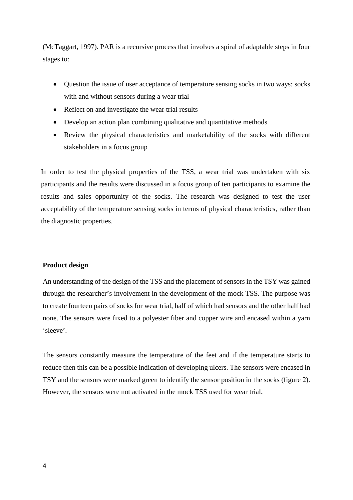(McTaggart, 1997). PAR is a recursive process that involves a spiral of adaptable steps in four stages to:

- Question the issue of user acceptance of temperature sensing socks in two ways: socks with and without sensors during a wear trial
- Reflect on and investigate the wear trial results
- Develop an action plan combining qualitative and quantitative methods
- Review the physical characteristics and marketability of the socks with different stakeholders in a focus group

In order to test the physical properties of the TSS, a wear trial was undertaken with six participants and the results were discussed in a focus group of ten participants to examine the results and sales opportunity of the socks. The research was designed to test the user acceptability of the temperature sensing socks in terms of physical characteristics, rather than the diagnostic properties.

## **Product design**

An understanding of the design of the TSS and the placement of sensors in the TSY was gained through the researcher's involvement in the development of the mock TSS. The purpose was to create fourteen pairs of socks for wear trial, half of which had sensors and the other half had none. The sensors were fixed to a polyester fiber and copper wire and encased within a yarn 'sleeve'.

The sensors constantly measure the temperature of the feet and if the temperature starts to reduce then this can be a possible indication of developing ulcers. The sensors were encased in TSY and the sensors were marked green to identify the sensor position in the socks (figure 2). However, the sensors were not activated in the mock TSS used for wear trial.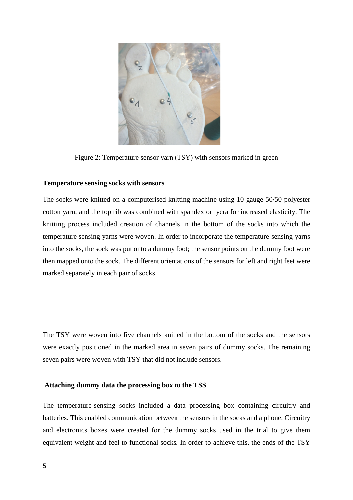

Figure 2: Temperature sensor yarn (TSY) with sensors marked in green

## **Temperature sensing socks with sensors**

The socks were knitted on a computerised knitting machine using 10 gauge 50/50 polyester cotton yarn, and the top rib was combined with spandex or lycra for increased elasticity. The knitting process included creation of channels in the bottom of the socks into which the temperature sensing yarns were woven. In order to incorporate the temperature-sensing yarns into the socks, the sock was put onto a dummy foot; the sensor points on the dummy foot were then mapped onto the sock. The different orientations of the sensors for left and right feet were marked separately in each pair of socks

The TSY were woven into five channels knitted in the bottom of the socks and the sensors were exactly positioned in the marked area in seven pairs of dummy socks. The remaining seven pairs were woven with TSY that did not include sensors.

## **Attaching dummy data the processing box to the TSS**

The temperature-sensing socks included a data processing box containing circuitry and batteries. This enabled communication between the sensors in the socks and a phone. Circuitry and electronics boxes were created for the dummy socks used in the trial to give them equivalent weight and feel to functional socks. In order to achieve this, the ends of the TSY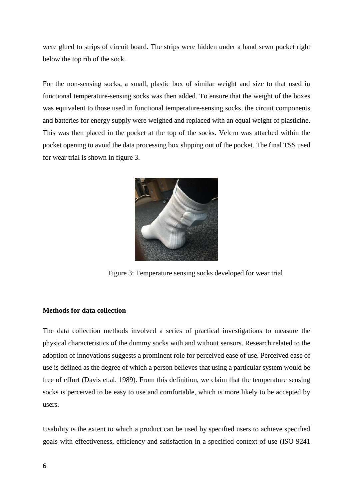were glued to strips of circuit board. The strips were hidden under a hand sewn pocket right below the top rib of the sock.

For the non-sensing socks, a small, plastic box of similar weight and size to that used in functional temperature-sensing socks was then added. To ensure that the weight of the boxes was equivalent to those used in functional temperature-sensing socks, the circuit components and batteries for energy supply were weighed and replaced with an equal weight of plasticine. This was then placed in the pocket at the top of the socks. Velcro was attached within the pocket opening to avoid the data processing box slipping out of the pocket. The final TSS used for wear trial is shown in figure 3.



Figure 3: Temperature sensing socks developed for wear trial

# **Methods for data collection**

The data collection methods involved a series of practical investigations to measure the physical characteristics of the dummy socks with and without sensors. Research related to the adoption of innovations suggests a prominent role for perceived ease of use. Perceived ease of use is defined as the degree of which a person believes that using a particular system would be free of effort (Davis et.al. 1989). From this definition, we claim that the temperature sensing socks is perceived to be easy to use and comfortable, which is more likely to be accepted by users.

Usability is the extent to which a product can be used by specified users to achieve specified goals with effectiveness, efficiency and satisfaction in a specified context of use (ISO 9241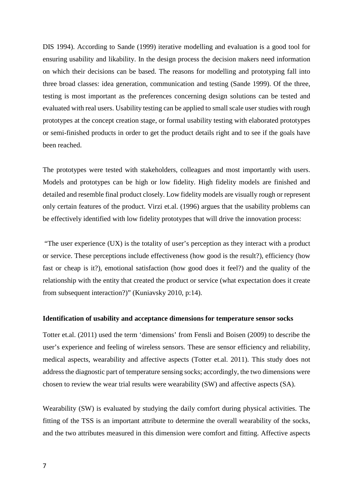DIS 1994). According to Sande (1999) iterative modelling and evaluation is a good tool for ensuring usability and likability. In the design process the decision makers need information on which their decisions can be based. The reasons for modelling and prototyping fall into three broad classes: idea generation, communication and testing (Sande 1999). Of the three, testing is most important as the preferences concerning design solutions can be tested and evaluated with real users. Usability testing can be applied to small scale user studies with rough prototypes at the concept creation stage, or formal usability testing with elaborated prototypes or semi-finished products in order to get the product details right and to see if the goals have been reached.

The prototypes were tested with stakeholders, colleagues and most importantly with users. Models and prototypes can be high or low fidelity. High fidelity models are finished and detailed and resemble final product closely. Low fidelity models are visually rough or represent only certain features of the product. Virzi et.al. (1996) argues that the usability problems can be effectively identified with low fidelity prototypes that will drive the innovation process:

"The user experience (UX) is the totality of user's perception as they interact with a product or service. These perceptions include effectiveness (how good is the result?), efficiency (how fast or cheap is it?), emotional satisfaction (how good does it feel?) and the quality of the relationship with the entity that created the product or service (what expectation does it create from subsequent interaction?)" (Kuniavsky 2010, p:14).

## **Identification of usability and acceptance dimensions for temperature sensor socks**

Totter et.al. (2011) used the term 'dimensions' from Fensli and Boisen (2009) to describe the user's experience and feeling of wireless sensors. These are sensor efficiency and reliability, medical aspects, wearability and affective aspects (Totter et.al. 2011). This study does not address the diagnostic part of temperature sensing socks; accordingly, the two dimensions were chosen to review the wear trial results were wearability (SW) and affective aspects (SA).

Wearability (SW) is evaluated by studying the daily comfort during physical activities. The fitting of the TSS is an important attribute to determine the overall wearability of the socks, and the two attributes measured in this dimension were comfort and fitting. Affective aspects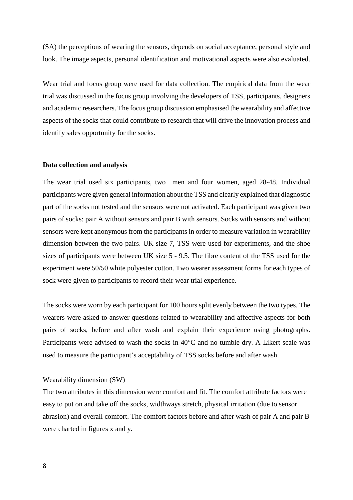(SA) the perceptions of wearing the sensors, depends on social acceptance, personal style and look. The image aspects, personal identification and motivational aspects were also evaluated.

Wear trial and focus group were used for data collection. The empirical data from the wear trial was discussed in the focus group involving the developers of TSS, participants, designers and academic researchers. The focus group discussion emphasised the wearability and affective aspects of the socks that could contribute to research that will drive the innovation process and identify sales opportunity for the socks.

#### **Data collection and analysis**

The wear trial used six participants, two men and four women, aged 28-48. Individual participants were given general information about the TSS and clearly explained that diagnostic part of the socks not tested and the sensors were not activated. Each participant was given two pairs of socks: pair A without sensors and pair B with sensors. Socks with sensors and without sensors were kept anonymous from the participants in order to measure variation in wearability dimension between the two pairs. UK size 7, TSS were used for experiments, and the shoe sizes of participants were between UK size 5 - 9.5. The fibre content of the TSS used for the experiment were 50/50 white polyester cotton. Two wearer assessment forms for each types of sock were given to participants to record their wear trial experience.

The socks were worn by each participant for 100 hours split evenly between the two types. The wearers were asked to answer questions related to wearability and affective aspects for both pairs of socks, before and after wash and explain their experience using photographs. Participants were advised to wash the socks in 40°C and no tumble dry. A Likert scale was used to measure the participant's acceptability of TSS socks before and after wash.

#### Wearability dimension (SW)

The two attributes in this dimension were comfort and fit. The comfort attribute factors were easy to put on and take off the socks, widthways stretch, physical irritation (due to sensor abrasion) and overall comfort. The comfort factors before and after wash of pair A and pair B were charted in figures x and y.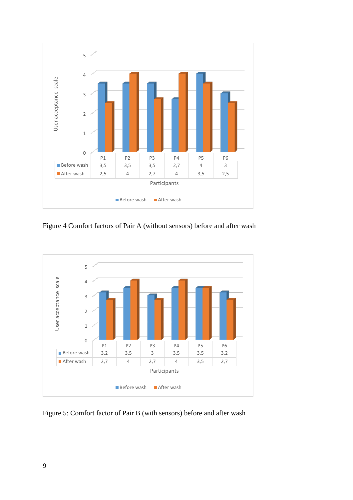

Figure 4 Comfort factors of Pair A (without sensors) before and after wash



Figure 5: Comfort factor of Pair B (with sensors) before and after wash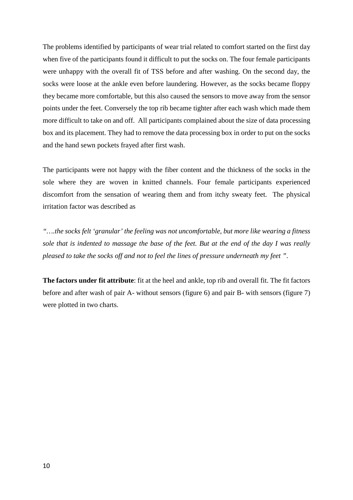The problems identified by participants of wear trial related to comfort started on the first day when five of the participants found it difficult to put the socks on. The four female participants were unhappy with the overall fit of TSS before and after washing. On the second day, the socks were loose at the ankle even before laundering. However, as the socks became floppy they became more comfortable, but this also caused the sensors to move away from the sensor points under the feet. Conversely the top rib became tighter after each wash which made them more difficult to take on and off. All participants complained about the size of data processing box and its placement. They had to remove the data processing box in order to put on the socks and the hand sewn pockets frayed after first wash.

The participants were not happy with the fiber content and the thickness of the socks in the sole where they are woven in knitted channels. Four female participants experienced discomfort from the sensation of wearing them and from itchy sweaty feet. The physical irritation factor was described as

*"….the socks felt 'granular' the feeling was not uncomfortable, but more like wearing a fitness sole that is indented to massage the base of the feet. But at the end of the day I was really pleased to take the socks off and not to feel the lines of pressure underneath my feet "*.

**The factors under fit attribute**: fit at the heel and ankle, top rib and overall fit. The fit factors before and after wash of pair A- without sensors (figure 6) and pair B- with sensors (figure 7) were plotted in two charts.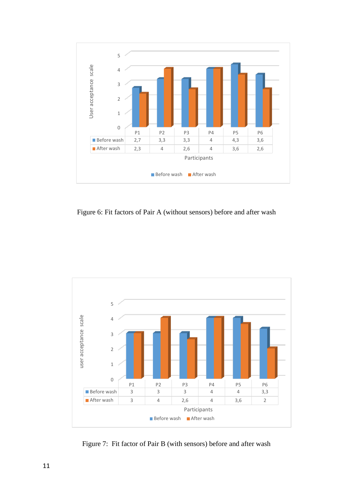

Figure 6: Fit factors of Pair A (without sensors) before and after wash



Figure 7: Fit factor of Pair B (with sensors) before and after wash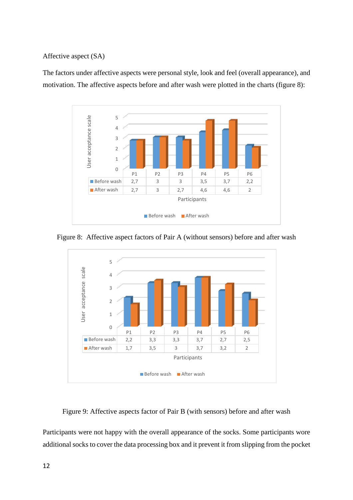## Affective aspect (SA)

The factors under affective aspects were personal style, look and feel (overall appearance), and motivation. The affective aspects before and after wash were plotted in the charts (figure 8):



Figure 8: Affective aspect factors of Pair A (without sensors) before and after wash



Figure 9: Affective aspects factor of Pair B (with sensors) before and after wash

Participants were not happy with the overall appearance of the socks. Some participants wore additional socks to cover the data processing box and it prevent it from slipping from the pocket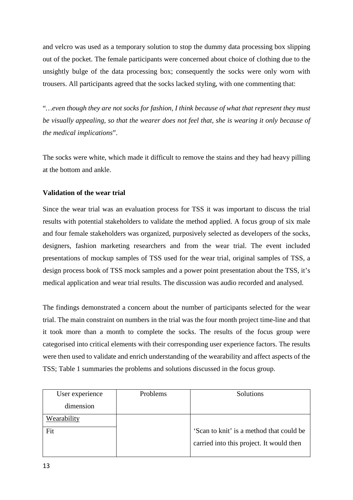and velcro was used as a temporary solution to stop the dummy data processing box slipping out of the pocket. The female participants were concerned about choice of clothing due to the unsightly bulge of the data processing box; consequently the socks were only worn with trousers. All participants agreed that the socks lacked styling, with one commenting that:

"*…even though they are not socks for fashion, I think because of what that represent they must be visually appealing, so that the wearer does not feel that, she is wearing it only because of the medical implications*".

The socks were white, which made it difficult to remove the stains and they had heavy pilling at the bottom and ankle.

# **Validation of the wear trial**

Since the wear trial was an evaluation process for TSS it was important to discuss the trial results with potential stakeholders to validate the method applied. A focus group of six male and four female stakeholders was organized, purposively selected as developers of the socks, designers, fashion marketing researchers and from the wear trial. The event included presentations of mockup samples of TSS used for the wear trial, original samples of TSS, a design process book of TSS mock samples and a power point presentation about the TSS, it's medical application and wear trial results. The discussion was audio recorded and analysed.

The findings demonstrated a concern about the number of participants selected for the wear trial. The main constraint on numbers in the trial was the four month project time-line and that it took more than a month to complete the socks. The results of the focus group were categorised into critical elements with their corresponding user experience factors. The results were then used to validate and enrich understanding of the wearability and affect aspects of the TSS; Table 1 summaries the problems and solutions discussed in the focus group.

| User experience | Problems | Solutions                                |
|-----------------|----------|------------------------------------------|
| dimension       |          |                                          |
| Wearability     |          |                                          |
| Fit             |          | 'Scan to knit' is a method that could be |
|                 |          | carried into this project. It would then |
|                 |          |                                          |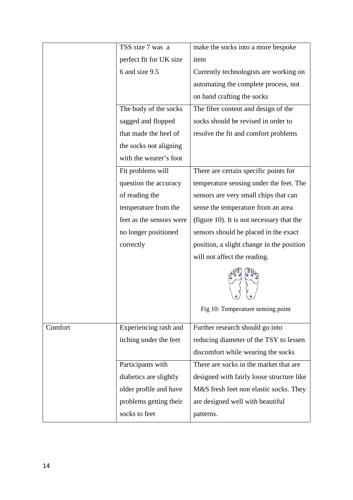|         | TSS size 7 was a         | make the socks into a more bespoke        |
|---------|--------------------------|-------------------------------------------|
|         | perfect fit for UK size  | item                                      |
|         | 6 and size 9.5           | Currently technologists are working on    |
|         |                          | automating the complete process, not      |
|         |                          | on hand crafting the socks                |
|         | The body of the socks    | The fibre content and design of the       |
|         | sagged and flopped       | socks should be revised in order to       |
|         | that made the heel of    | resolve the fit and comfort problems      |
|         | the socks not aligning   |                                           |
|         | with the wearer's foot   |                                           |
|         | Fit problems will        | There are certain specific points for     |
|         | question the accuracy    | temperature sensing under the feet. The   |
|         | of reading the           | sensors are very small chips that can     |
|         | temperature from the     | sense the temperature from an area        |
|         | feet as the sensors were | (figure 10). It is not necessary that the |
|         | no longer positioned     | sensors should be placed in the exact     |
|         | correctly                | position, a slight change in the position |
|         |                          | will not affect the reading.              |
|         |                          |                                           |
|         |                          | Fig 10: Temperature sensing point         |
| Comfort | Experiencing rash and    | Further research should go into           |
|         | itching under the feet   | reducing diameter of the TSY to lessen    |
|         |                          | discomfort while wearing the socks        |
|         | Participants with        | There are socks in the market that are    |
|         | diabetics are slightly   | designed with fairly loose structure like |
|         | older profile and have   | M&S fresh feet non elastic socks. They    |
|         | problems getting their   | are designed well with beautiful          |
|         | socks to feet            | patterns.                                 |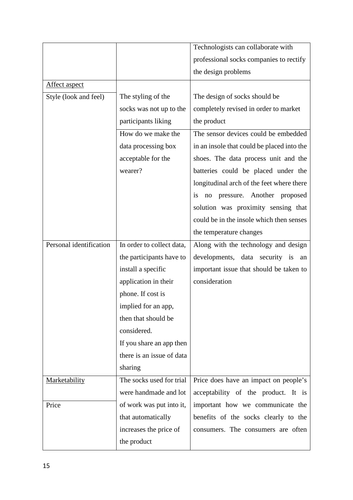|                         |                           | Technologists can collaborate with         |
|-------------------------|---------------------------|--------------------------------------------|
|                         |                           | professional socks companies to rectify    |
|                         |                           | the design problems                        |
| <b>Affect aspect</b>    |                           |                                            |
| Style (look and feel)   | The styling of the        | The design of socks should be              |
|                         | socks was not up to the   | completely revised in order to market      |
|                         | participants liking       | the product                                |
|                         | How do we make the        | The sensor devices could be embedded       |
|                         | data processing box       | in an insole that could be placed into the |
|                         | acceptable for the        | shoes. The data process unit and the       |
|                         | wearer?                   | batteries could be placed under the        |
|                         |                           | longitudinal arch of the feet where there  |
|                         |                           | pressure. Another proposed<br>is<br>no     |
|                         |                           | solution was proximity sensing that        |
|                         |                           | could be in the insole which then senses   |
|                         |                           | the temperature changes                    |
| Personal identification | In order to collect data, | Along with the technology and design       |
|                         | the participants have to  | developments, data security is an          |
|                         | install a specific        | important issue that should be taken to    |
|                         | application in their      | consideration                              |
|                         | phone. If cost is         |                                            |
|                         | implied for an app,       |                                            |
|                         | then that should be       |                                            |
|                         | considered.               |                                            |
|                         | If you share an app then  |                                            |
|                         | there is an issue of data |                                            |
|                         | sharing                   |                                            |
| <b>Marketability</b>    | The socks used for trial  | Price does have an impact on people's      |
|                         | were handmade and lot     | acceptability of the product. It is        |
| Price                   | of work was put into it,  | important how we communicate the           |
|                         | that automatically        | benefits of the socks clearly to the       |
|                         | increases the price of    | consumers. The consumers are often         |
|                         | the product               |                                            |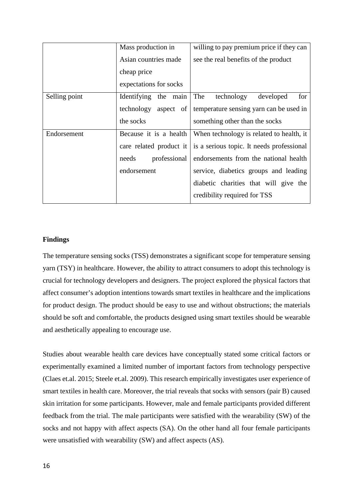|               | Mass production in      | willing to pay premium price if they can  |
|---------------|-------------------------|-------------------------------------------|
|               | Asian countries made    | see the real benefits of the product      |
|               | cheap price             |                                           |
|               | expectations for socks  |                                           |
| Selling point | Identifying<br>the main | for<br>The<br>technology<br>developed     |
|               | aspect of<br>technology | temperature sensing yarn can be used in   |
|               | the socks               | something other than the socks            |
| Endorsement   | Because it is a health  | When technology is related to health, it  |
|               | care related product it | is a serious topic. It needs professional |
|               | professional<br>needs   | endorsements from the national health     |
|               | endorsement             | service, diabetics groups and leading     |
|               |                         | diabetic charities that will give the     |
|               |                         | credibility required for TSS              |

## **Findings**

The temperature sensing socks (TSS) demonstrates a significant scope for temperature sensing yarn (TSY) in healthcare. However, the ability to attract consumers to adopt this technology is crucial for technology developers and designers. The project explored the physical factors that affect consumer's adoption intentions towards smart textiles in healthcare and the implications for product design. The product should be easy to use and without obstructions; the materials should be soft and comfortable, the products designed using smart textiles should be wearable and aesthetically appealing to encourage use.

Studies about wearable health care devices have conceptually stated some critical factors or experimentally examined a limited number of important factors from technology perspective (Claes et.al. 2015; Steele et.al. 2009). This research empirically investigates user experience of smart textiles in health care. Moreover, the trial reveals that socks with sensors (pair B) caused skin irritation for some participants. However, male and female participants provided different feedback from the trial. The male participants were satisfied with the wearability (SW) of the socks and not happy with affect aspects (SA). On the other hand all four female participants were unsatisfied with wearability (SW) and affect aspects (AS).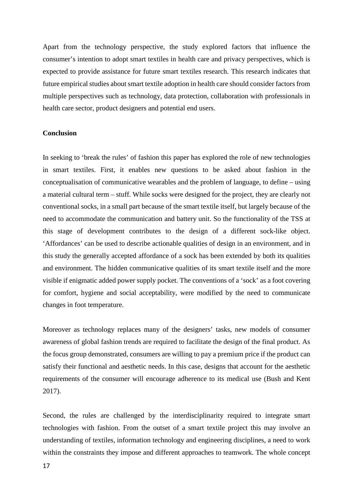Apart from the technology perspective, the study explored factors that influence the consumer's intention to adopt smart textiles in health care and privacy perspectives, which is expected to provide assistance for future smart textiles research. This research indicates that future empirical studies about smart textile adoption in health care should consider factors from multiple perspectives such as technology, data protection, collaboration with professionals in health care sector, product designers and potential end users.

#### **Conclusion**

In seeking to 'break the rules' of fashion this paper has explored the role of new technologies in smart textiles. First, it enables new questions to be asked about fashion in the conceptualisation of communicative wearables and the problem of language, to define – using a material cultural term – stuff. While socks were designed for the project, they are clearly not conventional socks, in a small part because of the smart textile itself, but largely because of the need to accommodate the communication and battery unit. So the functionality of the TSS at this stage of development contributes to the design of a different sock-like object. 'Affordances' can be used to describe actionable qualities of design in an environment, and in this study the generally accepted affordance of a sock has been extended by both its qualities and environment. The hidden communicative qualities of its smart textile itself and the more visible if enigmatic added power supply pocket. The conventions of a 'sock' as a foot covering for comfort, hygiene and social acceptability, were modified by the need to communicate changes in foot temperature.

Moreover as technology replaces many of the designers' tasks, new models of consumer awareness of global fashion trends are required to facilitate the design of the final product. As the focus group demonstrated, consumers are willing to pay a premium price if the product can satisfy their functional and aesthetic needs. In this case, designs that account for the aesthetic requirements of the consumer will encourage adherence to its medical use (Bush and Kent 2017).

Second, the rules are challenged by the interdisciplinarity required to integrate smart technologies with fashion. From the outset of a smart textile project this may involve an understanding of textiles, information technology and engineering disciplines, a need to work within the constraints they impose and different approaches to teamwork. The whole concept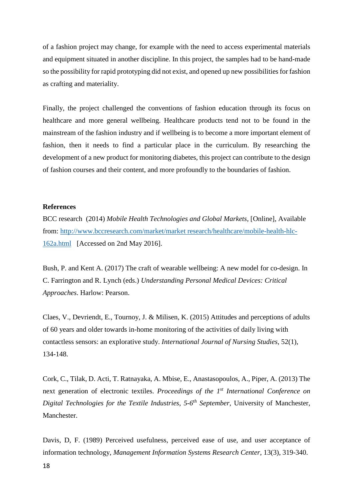of a fashion project may change, for example with the need to access experimental materials and equipment situated in another discipline. In this project, the samples had to be hand-made so the possibility for rapid prototyping did not exist, and opened up new possibilities for fashion as crafting and materiality.

Finally, the project challenged the conventions of fashion education through its focus on healthcare and more general wellbeing. Healthcare products tend not to be found in the mainstream of the fashion industry and if wellbeing is to become a more important element of fashion, then it needs to find a particular place in the curriculum. By researching the development of a new product for monitoring diabetes, this project can contribute to the design of fashion courses and their content, and more profoundly to the boundaries of fashion.

## **References**

BCC research (2014) *Mobile Health Technologies and Global Markets,* [Online], Available from: [http://www.bccresearch.com/market/market research/healthcare/mobile-health-hlc-](http://www.bccresearch.com/market/market%20research/healthcare/mobile-health-hlc-162a.html)[162a.html](http://www.bccresearch.com/market/market%20research/healthcare/mobile-health-hlc-162a.html) [Accessed on 2nd May 2016].

Bush, P. and Kent A. (2017) The craft of wearable wellbeing: A new model for co-design. In C. Farrington and R. Lynch (eds.) *Understanding Personal Medical Devices: Critical Approaches*. Harlow: Pearson.

Claes, V., Devriendt, E., Tournoy, J. & Milisen, K. (2015) Attitudes and perceptions of adults of 60 years and older towards in-home monitoring of the activities of daily living with contactless sensors: an explorative study. *International Journal of Nursing Studies*, 52(1), 134-148.

Cork, C., Tilak, D. Acti, T. Ratnayaka, A. Mbise, E., Anastasopoulos, A., Piper, A. (2013) The next generation of electronic textiles. *Proceedings of the 1st International Conference on Digital Technologies for the Textile Industries*, *5-6th September,* University of Manchester, Manchester.

Davis, D, F. (1989) Perceived usefulness, perceived ease of use, and user acceptance of information technology, *Management Information Systems Research Center*, 13(3), 319-340.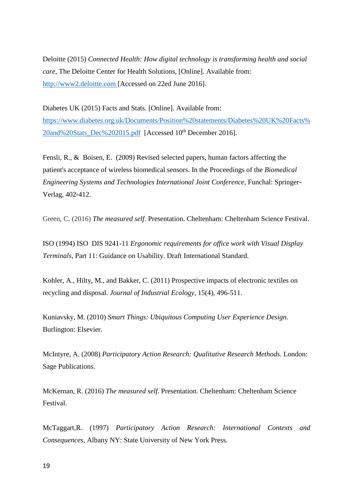Deloitte (2015) *Connected Health: How digital technology is transforming health and social care*, The Deloitte Center for Health Solutions, [Online]. Available from: [http://www2.deloitte.com](http://www2.deloitte.com/) [Accessed on 22ed June 2016].

Diabetes UK (2015) Facts and Stats. [Online]. Available from: [https://www.diabetes.org.uk/Documents/Position%20statements/Diabetes%20UK%20Facts%](https://www.diabetes.org.uk/Documents/Position%20statements/Diabetes%20UK%20Facts%20and%20Stats_Dec%202015.pdf) [20and%20Stats\\_Dec%202015.pdf](https://www.diabetes.org.uk/Documents/Position%20statements/Diabetes%20UK%20Facts%20and%20Stats_Dec%202015.pdf) [Accessed 10<sup>th</sup> December 2016].

Fensli, R., & Boisen, E. (2009) Revised selected papers, human factors affecting the patient's acceptance of wireless biomedical sensors. In the Proceedings of the *Biomedical Engineering Systems and Technologies International Joint Conference,* Funchal: Springer-Verlag, 402-412.

Green, C. (2016) *The measured self*. Presentation. Cheltenham: Cheltenham Science Festival.

ISO (1994) ISO DIS 9241-11 *Ergonomic requirements for office work with Visual Display Terminals*, Part 11: Guidance on Usability. Draft International Standard.

Kohler, A., Hilty, M., and Bakker, C. (2011) Prospective impacts of electronic textiles on recycling and disposal. *Journal of Industrial Ecology*, 15(4), 496-511.

Kuniavsky, M. (2010) *Smart Things: Ubiquitous Computing User Experience Design*. Burlington: Elsevier.

McIntyre, A. (2008) *Participatory Action Research: Qualitative Research Methods*. London: Sage Publications.

McKernan, R. (2016) *The measured self*. Presentation. Cheltenham: Cheltenham Science Festival.

McTaggart,R. (1997) *Participatory Action Research: International Contexts and Consequences*, Albany NY: State University of New York Press.